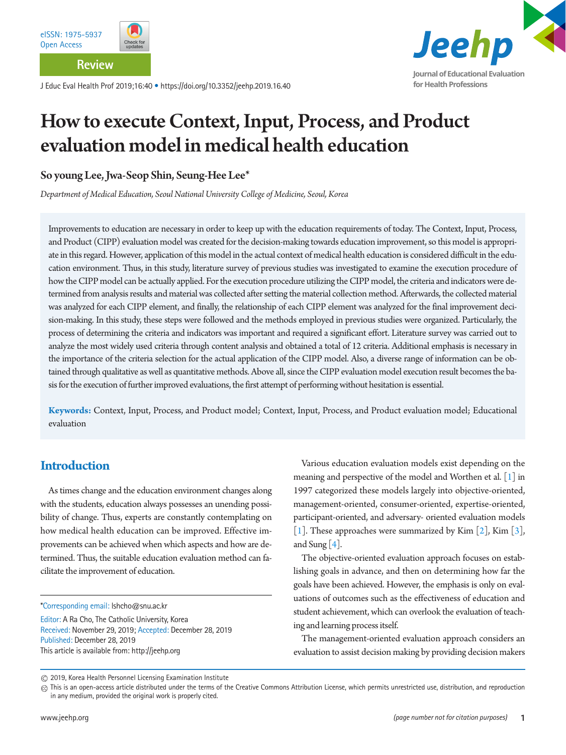**Review**

J Educ Eval Health Prof 2019;16:40 • https://doi.org/10.3352/jeehp.2019.16.40



# How to execute Context, Input, Process, and Product evaluation model in medical health education

So young Lee, Jwa-Seop Shin, Seung-Hee Lee\*

*Department of Medical Education, Seoul National University College of Medicine, Seoul, Korea*

Improvements to education are necessary in order to keep up with the education requirements of today. The Context, Input, Process, and Product (CIPP) evaluation model was created for the decision-making towards education improvement, so this model is appropriate in this regard. However, application of this model in the actual context of medical health education is considered difficult in the education environment. Thus, in this study, literature survey of previous studies was investigated to examine the execution procedure of how the CIPP model can be actually applied. For the execution procedure utilizing the CIPP model, the criteria and indicators were determined from analysis results and material was collected after setting the material collection method. Afterwards, the collected material was analyzed for each CIPP element, and finally, the relationship of each CIPP element was analyzed for the final improvement decision-making. In this study, these steps were followed and the methods employed in previous studies were organized. Particularly, the process of determining the criteria and indicators was important and required a significant effort. Literature survey was carried out to analyze the most widely used criteria through content analysis and obtained a total of 12 criteria. Additional emphasis is necessary in the importance of the criteria selection for the actual application of the CIPP model. Also, a diverse range of information can be obtained through qualitative as well as quantitative methods. Above all, since the CIPP evaluation model execution result becomes the basis for the execution of further improved evaluations, the first attempt of performing without hesitation is essential.

**Keywords:** Context, Input, Process, and Product model; Context, Input, Process, and Product evaluation model; Educational evaluation

# **Introduction**

As times change and the education environment changes along with the students, education always possesses an unending possibility of change. Thus, experts are constantly contemplating on how medical health education can be improved. Effective improvements can be achieved when which aspects and how are determined. Thus, the suitable education evaluation method can facilitate the improvement of education.

Editor: A Ra Cho, The Catholic University, Korea Received: November 29, 2019; Accepted: December 28, 2019 Published: December 28, 2019 This article is available from: http://jeehp.org

Various education evaluation models exist depending on the meaning and perspective of the model and Worthen et al. [\[1\]](#page-6-0) in 1997 categorized these models largely into objective-oriented, management-oriented, consumer-oriented, expertise-oriented, participant-oriented, and adversary- oriented evaluation models [\[1\]](#page-6-0). These approaches were summarized by Kim  $[2]$ , Kim  $[3]$  $[3]$ , and Sung  $[4]$  $[4]$ .

The objective-oriented evaluation approach focuses on establishing goals in advance, and then on determining how far the goals have been achieved. However, the emphasis is only on evaluations of outcomes such as the effectiveness of education and student achievement, which can overlook the evaluation of teaching and learning process itself.

The management-oriented evaluation approach considers an evaluation to assist decision making by providing decision makers

<sup>\*</sup>Corresponding email: lshcho@snu.ac.kr

<sup>2019,</sup> Korea Health Personnel Licensing Examination Institute

 $@$  This is an open-access article distributed under the terms of the Creative Commons Attribution License, which permits unrestricted use, distribution, and reproduction in any medium, provided the original work is properly cited.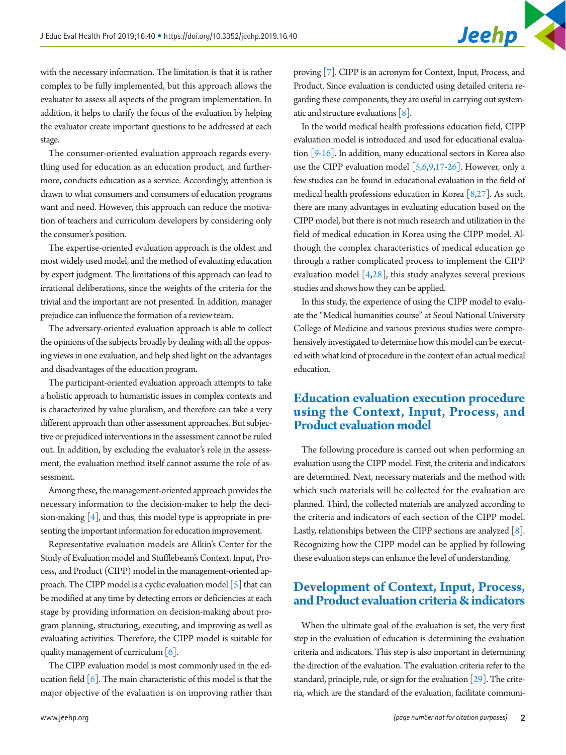with the necessary information. The limitation is that it is rather complex to be fully implemented, but this approach allows the evaluator to assess all aspects of the program implementation. In addition, it helps to clarify the focus of the evaluation by helping the evaluator create important questions to be addressed at each stage.

The consumer-oriented evaluation approach regards everything used for education as an education product, and furthermore, conducts education as a service. Accordingly, attention is drawn to what consumers and consumers of education programs want and need. However, this approach can reduce the motivation of teachers and curriculum developers by considering only the consumer's position.

The expertise-oriented evaluation approach is the oldest and most widely used model, and the method of evaluating education by expert judgment. The limitations of this approach can lead to irrational deliberations, since the weights of the criteria for the trivial and the important are not presented. In addition, manager prejudice can influence the formation of a review team.

The adversary-oriented evaluation approach is able to collect the opinions of the subjects broadly by dealing with all the opposing views in one evaluation, and help shed light on the advantages and disadvantages of the education program.

The participant-oriented evaluation approach attempts to take a holistic approach to humanistic issues in complex contexts and is characterized by value pluralism, and therefore can take a very different approach than other assessment approaches. But subjective or prejudiced interventions in the assessment cannot be ruled out. In addition, by excluding the evaluator's role in the assessment, the evaluation method itself cannot assume the role of assessment.

Among these, the management-oriented approach provides the necessary information to the decision-maker to help the decision-making [4], and thus, this model type is appropriate in presenting the important information for education improvement.

Representative evaluation models are Alkin's Center for the Study of Evaluation model and Stufflebeam's Context, Input, Process, and Product (CIPP) model in the management-oriented approach. The CIPP model is a cyclic evaluation model  $\lceil 5 \rceil$  that can be modified at any time by detecting errors or deficiencies at each stage by providing information on decision-making about program planning, structuring, executing, and improving as well as evaluating activities. Therefore, the CIPP model is suitable for quality management of curriculum [\[6\]](#page-6-5).

The CIPP evaluation model is most commonly used in the education field  $[6]$ . The main characteristic of this model is that the major objective of the evaluation is on improving rather than

proving [\[7\]](#page-6-6). CIPP is an acronym for Context, Input, Process, and Product. Since evaluation is conducted using detailed criteria regarding these components, they are useful in carrying out systematic and structure evaluations  $[8]$ .

In the world medical health professions education field, CIPP evaluation model is introduced and used for educational evaluation [9[-16](#page-7-0)]. In addition, many educational sectors in Korea also use the CIPP evaluation model  $[5,6,9,17-26]$  $[5,6,9,17-26]$  $[5,6,9,17-26]$  $[5,6,9,17-26]$  $[5,6,9,17-26]$ . However, only a few studies can be found in educational evaluation in the field of medical health professions education in Korea [\[8](#page-6-7)[,27\]](#page-7-3). As such, there are many advantages in evaluating education based on the CIPP model, but there is not much research and utilization in the field of medical education in Korea using the CIPP model. Although the complex characteristics of medical education go through a rather complicated process to implement the CIPP evaluation model  $[4,28]$  $[4,28]$  $[4,28]$ , this study analyzes several previous studies and shows how they can be applied.

In this study, the experience of using the CIPP model to evaluate the "Medical humanities course" at Seoul National University College of Medicine and various previous studies were comprehensively investigated to determine how this model can be executed with what kind of procedure in the context of an actual medical education.

#### **Education evaluation execution procedure using the Context, Input, Process, and Product evaluation model**

The following procedure is carried out when performing an evaluation using the CIPP model. First, the criteria and indicators are determined. Next, necessary materials and the method with which such materials will be collected for the evaluation are planned. Third, the collected materials are analyzed according to the criteria and indicators of each section of the CIPP model. Lastly, relationships between the CIPP sections are analyzed [8]. Recognizing how the CIPP model can be applied by following these evaluation steps can enhance the level of understanding.

#### **Development of Context, Input, Process, and Product evaluation criteria & indicators**

When the ultimate goal of the evaluation is set, the very first step in the evaluation of education is determining the evaluation criteria and indicators. This step is also important in determining the direction of the evaluation. The evaluation criteria refer to the standard, principle, rule, or sign for the evaluation [\[29\]](#page-7-5). The criteria, which are the standard of the evaluation, facilitate communi-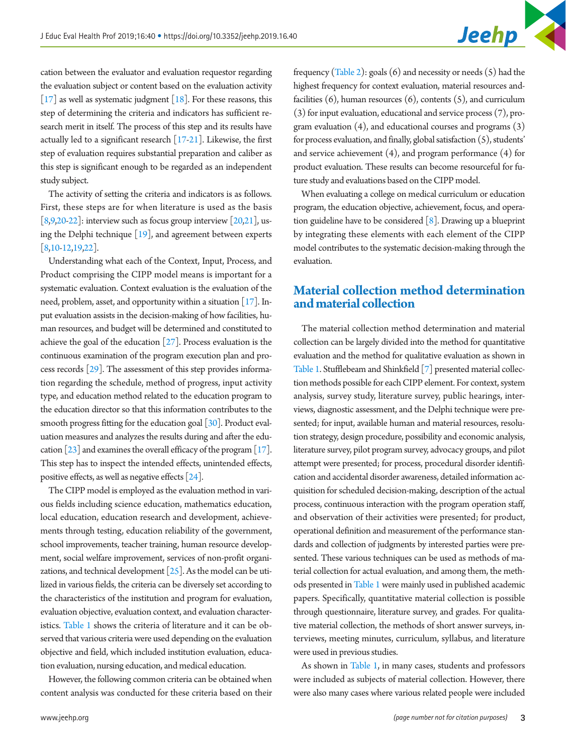cation between the evaluator and evaluation requestor regarding the evaluation subject or content based on the evaluation activity  $\left[17\right]$  as well as systematic judgment  $\left[18\right]$ . For these reasons, this step of determining the criteria and indicators has sufficient research merit in itself. The process of this step and its results have actually led to a significant research  $[17-21]$  $[17-21]$ . Likewise, the first step of evaluation requires substantial preparation and caliber as this step is significant enough to be regarded as an independent study subject.

The activity of setting the criteria and indicators is as follows. First, these steps are for when literature is used as the basis  $[8,9,20-22]$  $[8,9,20-22]$  $[8,9,20-22]$ : interview such as focus group interview  $[20,21]$  $[20,21]$ , using the Delphi technique [\[19](#page-7-10)], and agreement between experts [8[,10](#page-7-11)[-12](#page-7-12)[,19](#page-7-10)[,22](#page-7-9)].

Understanding what each of the Context, Input, Process, and Product comprising the CIPP model means is important for a systematic evaluation. Context evaluation is the evaluation of the need, problem, asset, and opportunity within a situation [17]. Input evaluation assists in the decision-making of how facilities, human resources, and budget will be determined and constituted to achieve the goal of the education [27]. Process evaluation is the continuous examination of the program execution plan and process records [\[29\]](#page-7-5). The assessment of this step provides information regarding the schedule, method of progress, input activity type, and education method related to the education program to the education director so that this information contributes to the smooth progress fitting for the education goal [\[30\]](#page-7-13). Product evaluation measures and analyzes the results during and after the education  $[23]$  and examines the overall efficacy of the program  $[17]$ . This step has to inspect the intended effects, unintended effects, positive effects, as well as negative effects [\[24](#page-7-15)].

The CIPP model is employed as the evaluation method in various fields including science education, mathematics education, local education, education research and development, achievements through testing, education reliability of the government, school improvements, teacher training, human resource development, social welfare improvement, services of non-profit organizations, and technical development  $[25]$ . As the model can be utilized in various fields, the criteria can be diversely set according to the characteristics of the institution and program for evaluation, evaluation objective, evaluation context, and evaluation characteristics. Table 1 shows the criteria of literature and it can be observed that various criteria were used depending on the evaluation objective and field, which included institution evaluation, education evaluation, nursing education, and medical education.

However, the following common criteria can be obtained when content analysis was conducted for these criteria based on their

frequency (Table 2): goals  $(6)$  and necessity or needs  $(5)$  had the highest frequency for context evaluation, material resources andfacilities  $(6)$ , human resources  $(6)$ , contents  $(5)$ , and curriculum (3) for input evaluation, educational and service process (7), program evaluation (4), and educational courses and programs (3) for process evaluation, and finally, global satisfaction (5), students' and service achievement (4), and program performance (4) for product evaluation. These results can become resourceful for future study and evaluations based on the CIPP model.

When evaluating a college on medical curriculum or education program, the education objective, achievement, focus, and operation guideline have to be considered [8]. Drawing up a blueprint by integrating these elements with each element of the CIPP model contributes to the systematic decision-making through the evaluation.

# **Material collection method determination and material collection**

The material collection method determination and material collection can be largely divided into the method for quantitative evaluation and the method for qualitative evaluation as shown in Table 1. Stufflebeam and Shinkfield [7] presented material collection methods possible for each CIPP element. For context, system analysis, survey study, literature survey, public hearings, interviews, diagnostic assessment, and the Delphi technique were presented; for input, available human and material resources, resolution strategy, design procedure, possibility and economic analysis, literature survey, pilot program survey, advocacy groups, and pilot attempt were presented; for process, procedural disorder identification and accidental disorder awareness, detailed information acquisition for scheduled decision-making, description of the actual process, continuous interaction with the program operation staff, and observation of their activities were presented; for product, operational definition and measurement of the performance standards and collection of judgments by interested parties were presented. These various techniques can be used as methods of material collection for actual evaluation, and among them, the methods presented in Table 1 were mainly used in published academic papers. Specifically, quantitative material collection is possible through questionnaire, literature survey, and grades. For qualitative material collection, the methods of short answer surveys, interviews, meeting minutes, curriculum, syllabus, and literature were used in previous studies.

As shown in Table 1, in many cases, students and professors were included as subjects of material collection. However, there were also many cases where various related people were included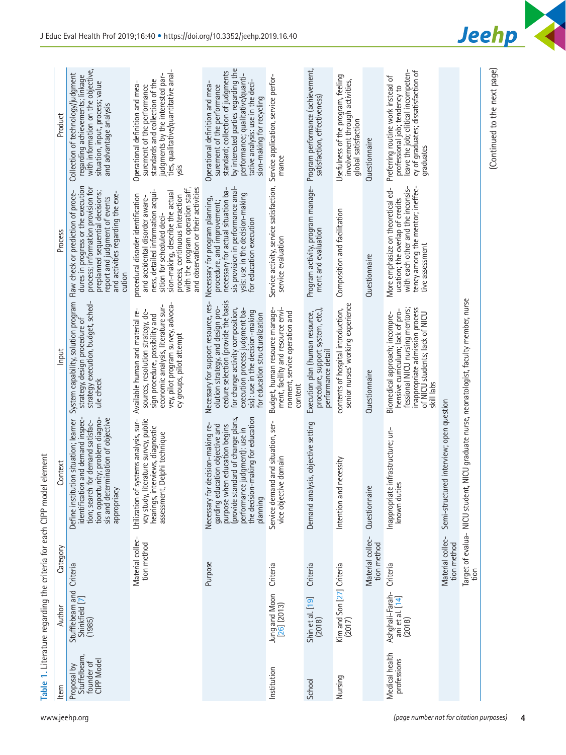|                                         | ltem                                                   | Author                                       | Category                        | Context                                                                                                                                                                                                                       | Input                                                                                                                                                                                                                                                         | Process                                                                                                                                                                                                                                                                                    | Product                                                                                                                                                                                                                                          |
|-----------------------------------------|--------------------------------------------------------|----------------------------------------------|---------------------------------|-------------------------------------------------------------------------------------------------------------------------------------------------------------------------------------------------------------------------------|---------------------------------------------------------------------------------------------------------------------------------------------------------------------------------------------------------------------------------------------------------------|--------------------------------------------------------------------------------------------------------------------------------------------------------------------------------------------------------------------------------------------------------------------------------------------|--------------------------------------------------------------------------------------------------------------------------------------------------------------------------------------------------------------------------------------------------|
| www.jeehp.org                           | Stuffelbeam<br>CIPP Model<br>founder of<br>Proposal by | Stufflebeam and<br>Shinkfield [7]<br>(1985)  | Criteria                        | identification and demand inspec-<br>tion opportunity; problem diagno-<br>sis and determination of objective<br>Define institution situation; learner<br>tion; search for demand satisfac-<br>appropriacy                     | strategy execution, budget, sched-<br>System capability, solution program<br>strategy, design procedure of<br>ule check                                                                                                                                       | dures in progress or the execution<br>process; information provision for<br>preplanned sequential decisions;<br>Flaw check or prediction of proce-<br>and activities regarding the exe-<br>report and judgment of events<br>cution                                                         | with information on the objective,<br>Collection of technology/judgment<br>regarding achievements; linkage<br>situation, input, process; value<br>and advantage analysis                                                                         |
|                                         |                                                        |                                              | Material collec-<br>tion method | literature survey, public<br>Utilization of systems analysis, sur-<br>hearings, interviews, diagnostic<br>assessment, Delphi technique<br>vey study,                                                                          | vey, pilot program survey, advoca-<br>economic analysis, literature sur-<br>Available human and material re-<br>sources, resolution strategy, de-<br>sign procedure, possibility and<br>cy groups, pilot attempt                                              | with the program operation staff,<br>and observation or their activities<br>ness, detailed information acqui-<br>sion-making, describe the actual<br>procedural disorder identification<br>process, continuous interaction<br>and accidental disorder aware-<br>sition for scheduled deci- | ties, qualitative/quantitative anal-<br>judgments by the interested par-<br>standards and collection of the<br>Operational definition and mea-<br>surement of the performance<br>ysis                                                            |
|                                         |                                                        |                                              | Purpose                         | the decision-making for education<br>(provide standard of change plans,<br>Necessary for decision-making re-<br>garding education objective and<br>purpose when education begins<br>performance judgment): use in<br>planning | olution strategy, and design pro-<br>cedure selection (provide the basis<br>Necessary for support resource, res-<br>for change activity composition,<br>execution process judgment ba-<br>sis): use in the decision-making<br>for education structuralization | sis provision in performance anal-<br>necessary for actual situation ba-<br>ysis: use in the decision-making<br>Necessary for program planning,<br>procedure, and improvement;<br>for education execution                                                                                  | by interested parties regarding the<br>standard; collection of judgments<br>performance; qualitative/quanti-<br>tative analysis: use in the deci-<br>Operational definition and mea-<br>surement of the performance<br>sion-making for recycling |
|                                         | Institution                                            | Jung and Moon<br>[26] (2013)                 | Criteria                        | Service demand and situation, ser-<br>vice objective domain                                                                                                                                                                   | Budget, human resource manage-<br>ment, facility and resource envi-<br>ronment, service operation and<br>content                                                                                                                                              | Service activity, service satisfaction,<br>service evaluation                                                                                                                                                                                                                              | Service application, service perfor-<br>mance                                                                                                                                                                                                    |
|                                         | School                                                 | Shin et al. [19]<br>(2018)                   | Criteria                        | Demand analysis, objective setting                                                                                                                                                                                            | procedure, support system, etc.),<br>Execution plan (human resource,<br>performance detail                                                                                                                                                                    | Program activity, program manage-<br>ment and evaluation                                                                                                                                                                                                                                   | Program performance (achievement,<br>satisfaction, effectiveness)                                                                                                                                                                                |
|                                         | Nursing                                                | Kim and Son [27] Criteria<br>(2017)          |                                 | Intention and necessity                                                                                                                                                                                                       | senior nurses' working experience<br>contents of hospital introduction,                                                                                                                                                                                       | Composition and facilitation                                                                                                                                                                                                                                                               | Usefulness of the program, feeling<br>involvement through activities,<br>global satisfaction                                                                                                                                                     |
|                                         |                                                        |                                              | Material collec-<br>tion method | Questionnaire                                                                                                                                                                                                                 | Questionnaire                                                                                                                                                                                                                                                 | Questionnaire                                                                                                                                                                                                                                                                              | Questionnaire                                                                                                                                                                                                                                    |
| (page number not for citation purposes) | Medical health<br>professions                          | Ashghali-Farah-<br>ani et al. [14]<br>(2018) | Criteria                        | Inappropriate infrastructure; un-<br>ties<br>known du                                                                                                                                                                         | fessional NICU nursing mentors;<br>inappropriate admission process<br>hensive curriculum; lack of pro-<br>of NICU students; lack of NICU<br>Biomedical approach; incompre-<br>skill labs                                                                      | with each other and the inconsis-<br>tency among the mentor; ineffec-<br>More emphasize on theoretical ed-<br>ucation; the overlap of credits<br>tive assessment                                                                                                                           | leave the job; clitical incompeten-<br>cy of graduates; dissatisfaction of<br>Preferring routine work instead of<br>professional job; tendency to<br>graduates                                                                                   |
|                                         |                                                        |                                              | Material collec-<br>tion method | Semi-structured interview; open question                                                                                                                                                                                      |                                                                                                                                                                                                                                                               |                                                                                                                                                                                                                                                                                            |                                                                                                                                                                                                                                                  |
|                                         |                                                        |                                              | tion                            | Target of evalua- NICU student, NICU graduate nurse, neonatologist, faculty member, nurse                                                                                                                                     |                                                                                                                                                                                                                                                               |                                                                                                                                                                                                                                                                                            |                                                                                                                                                                                                                                                  |
| 4                                       |                                                        |                                              |                                 |                                                                                                                                                                                                                               |                                                                                                                                                                                                                                                               |                                                                                                                                                                                                                                                                                            | (Continued to the next page)                                                                                                                                                                                                                     |

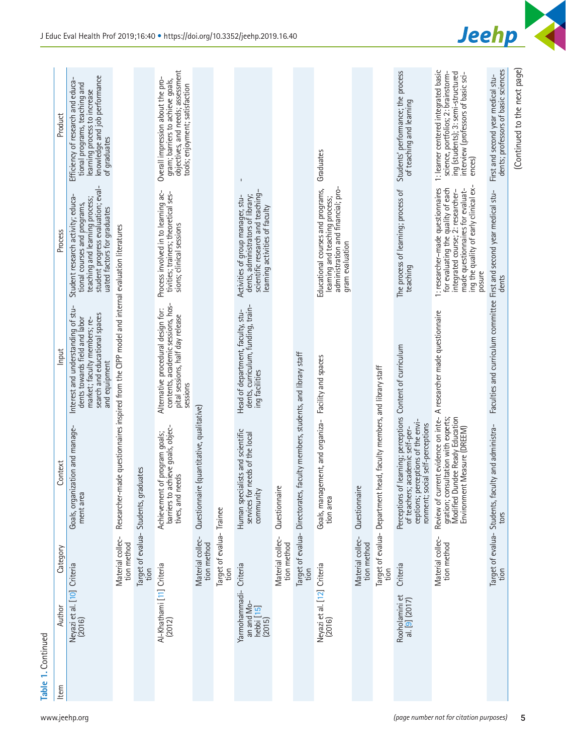| Table 1. Continued<br>Item | Author                                                          | Category                                | Context                                                                                                                                      | Input                                                                                                                                                 | Process                                                                                                                                                                                             |                                                                                                                                                                    |
|----------------------------|-----------------------------------------------------------------|-----------------------------------------|----------------------------------------------------------------------------------------------------------------------------------------------|-------------------------------------------------------------------------------------------------------------------------------------------------------|-----------------------------------------------------------------------------------------------------------------------------------------------------------------------------------------------------|--------------------------------------------------------------------------------------------------------------------------------------------------------------------|
|                            | Neyazi et al. [10] Criteria<br>(2016)                           |                                         | ization and manage-<br>Goals, organ<br>ment area                                                                                             | Interest and understanding of stu-<br>dents towards field and labor<br>search and educational spaces<br>market; faculty members; re-<br>and equipment | student progress evaluation; eval-<br>Student research activity; educa-<br>teaching and learning process;<br>tional courses and programs,<br>uated factors for graduates                            | knowledge and job performance<br>Efficiency of research and educa-<br>tional programs, teaching and<br>learning process to increase<br>of graduates                |
|                            |                                                                 | Material collec-<br>tion method         |                                                                                                                                              | Researcher-made questionnaires inspired from the CIPP model and internal evaluation literatures                                                       |                                                                                                                                                                                                     |                                                                                                                                                                    |
|                            |                                                                 | Target of evalua-<br>tion               | aduates<br>Students, gr                                                                                                                      |                                                                                                                                                       |                                                                                                                                                                                                     |                                                                                                                                                                    |
|                            | Al-Khathami [11] Criteria<br>(2012)                             |                                         | barriers to achieve goals, objec-<br>Achievement of program goals;<br>tives, and needs                                                       | contents, academic sessions, hos-<br>Alternative procedural design for:<br>pital sessions, half day release<br>Sessions                               | Process involved in to learning ac-<br>tivities; trainers; theoretical ses-<br>sions; clinical sessions                                                                                             | objectives, and needs; assessment<br>Overall impression about the pro-<br>gram; barriers to achieve goals,<br>tools; enjoyment; satisfaction                       |
|                            |                                                                 | Material collec-<br>tion method         | re (quantitative, qualitative)<br>Questionnai                                                                                                |                                                                                                                                                       |                                                                                                                                                                                                     |                                                                                                                                                                    |
|                            |                                                                 | Target of evalua-Trainee<br>tion        |                                                                                                                                              |                                                                                                                                                       |                                                                                                                                                                                                     |                                                                                                                                                                    |
|                            | Criteria<br>Yarmohammadi-<br>an and Mo-<br>hebbi [15]<br>(2015) |                                         | Human specialists and scientific<br>services for needs of the local<br>community                                                             | Head of department, faculty, stu-<br>dents, curriculum, funding, train-<br>ing facilities                                                             | scientific research and teaching<br>dents, administrators of library;<br>Activities of group manager, stu-<br>learning activities of faculty                                                        | ı                                                                                                                                                                  |
|                            |                                                                 | Material collec-<br>tion method         | Questionnaire                                                                                                                                |                                                                                                                                                       |                                                                                                                                                                                                     |                                                                                                                                                                    |
|                            |                                                                 | Target of evalua- Directorates,<br>tion | faculty members, students, and library staff                                                                                                 |                                                                                                                                                       |                                                                                                                                                                                                     |                                                                                                                                                                    |
|                            | Neyazi et al. [12] Criteria<br>(2016)                           |                                         | Goals, management, and organiza-<br>tion area                                                                                                | Facility and spaces                                                                                                                                   | administration and financial; pro-<br>Educational courses and programs,<br>learning and teaching process;<br>gram evaluation                                                                        | Graduates                                                                                                                                                          |
|                            |                                                                 | Material collec-<br>tion method         | Questionnaire                                                                                                                                |                                                                                                                                                       |                                                                                                                                                                                                     |                                                                                                                                                                    |
|                            |                                                                 | Target of evalua- Department<br>tion    | head, faculty members, and library staff                                                                                                     |                                                                                                                                                       |                                                                                                                                                                                                     |                                                                                                                                                                    |
|                            | Rooholamini et<br>al. [9] (2017)                                | Criteria                                | ceptions; perceptions of the envi-<br>ronment; social self-perceptions<br>of teachers; academic self-per-<br>Perceptions                     | of learning; perceptions Content of curriculum                                                                                                        | The process of learning; process of<br>teaching                                                                                                                                                     | Students' performance; the process<br>of teaching and learning                                                                                                     |
|                            |                                                                 | Material collec-<br>tion method         | Review of current evidence on inte-<br>gration; consultation with experts;<br>Modified Dundee Ready Education<br>Environment Measure (DREEM) | A researcher made questionnaire                                                                                                                       | ing the quality of early clinical ex-<br>1: researcher-made questionnaires<br>for evaluating the quality of each<br>made questionnaires for evaluat-<br>integrated course; 2: researcher-<br>posure | 1: learner centered integrated basic<br>science, portfolios; 2: brainstorm-<br>ing (students); 3: semi-structured<br>interview (professors of basic sci-<br>ences) |
|                            |                                                                 |                                         | Target of evalua- Students, faculty and administra-<br>tors                                                                                  | Faculties and curriculum committee First and second year medical stu-                                                                                 | dents                                                                                                                                                                                               | dents; professors of basic sciences<br>First and second year medical stu-                                                                                          |
|                            |                                                                 |                                         |                                                                                                                                              |                                                                                                                                                       |                                                                                                                                                                                                     | (Continued to the next page)                                                                                                                                       |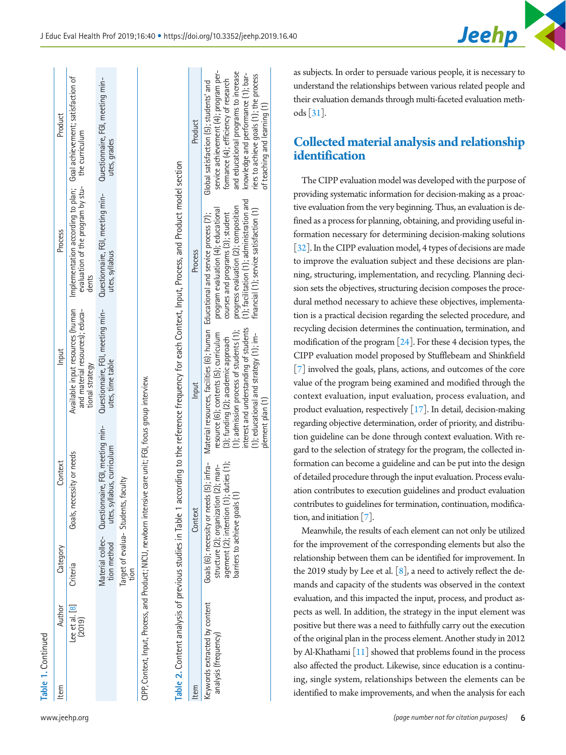| ×, |  |
|----|--|
| ×  |  |
|    |  |
|    |  |

| <b>Printing): 12</b> |                         |                       |                                                                                                                 |                                                      |                                                                                                                                                                                   |                                     |
|----------------------|-------------------------|-----------------------|-----------------------------------------------------------------------------------------------------------------|------------------------------------------------------|-----------------------------------------------------------------------------------------------------------------------------------------------------------------------------------|-------------------------------------|
| E                    | Author                  | Category              | Context                                                                                                         | Input                                                | Process                                                                                                                                                                           | Prod                                |
|                      | ee et al. [8]<br>(2019) | Criteria              | Goals, necessity or needs                                                                                       | tional strategy                                      | Available input resources (human Implementation according to plan; Goal achievement;<br>and material resources); educa- evaluation of the program by stu- the curriculum<br>dents |                                     |
|                      |                         | tion method           | Material collec- Questionnaire, FGI, meeting min-<br>utes, syllabus, curriculum                                 | Questionnaire, FGI, meeting min-<br>utes, time table | Questionnaire, FGI, meeting min-<br>utes, syllabus                                                                                                                                | Questionnaire, FGI,<br>utes, grades |
|                      |                         | larget of eva<br>tion | valua-Students, faculty                                                                                         |                                                      |                                                                                                                                                                                   |                                     |
|                      |                         |                       | on Outside The House of the New York and All Chinese and All Chinese of the New York and All Chinese and All Ch |                                                      |                                                                                                                                                                                   |                                     |

| $\ddot{\phantom{a}}$                                                                                                        |  |
|-----------------------------------------------------------------------------------------------------------------------------|--|
| ֧֧֦֧֦֧֦֧֦֧֦֧ׅ֧֧֧֧֧֧֧֚֝֜֓֜֜֜֜֜֜֜֜ <b>֓</b><br>j<br>5                                                                         |  |
| ة<br>ب<br>うりりり<br><b>POOL</b>                                                                                               |  |
| ļ<br>ļ<br>ĺ                                                                                                                 |  |
| ç                                                                                                                           |  |
| .<br>ـ<br>د<br>֧֦֦֦֦֧֦֦֧֦֧֦֧֦֦֧֦֧֦֧֦֦֧֦֦֦֧֧֦֧֧֦֧֧֦֧ׅ֧֛֛֪֦֧֛֪֪֪֦֪֪֦֪֛֪֪֪֪֪֪֪֪֪֪֪֪֪֪֪֪֪֪֪֪֪֪֪֪֚֚֚֚֝֘֝֝֝֝֜֝֜֜֜֜֜֓֜֜֜֝֜֜֝֝<br>¢ |  |
|                                                                                                                             |  |
| inni thr anni                                                                                                               |  |
| j<br>$\ddot{\dot{}}$<br>くそうへん<br>$\frac{1}{2}$                                                                              |  |
| מם ומדםור                                                                                                                   |  |
|                                                                                                                             |  |
|                                                                                                                             |  |
| -<br>-<br>-<br>ì<br>ְת                                                                                                      |  |
| i<br>2) しりし<br>ï<br>č                                                                                                       |  |
| I                                                                                                                           |  |
| )<br>)<br>$\frac{1}{2}$                                                                                                     |  |
|                                                                                                                             |  |
| $I$ ni es in $I$                                                                                                            |  |
|                                                                                                                             |  |
|                                                                                                                             |  |
|                                                                                                                             |  |
|                                                                                                                             |  |
|                                                                                                                             |  |
| I                                                                                                                           |  |
| j                                                                                                                           |  |
|                                                                                                                             |  |
|                                                                                                                             |  |
|                                                                                                                             |  |

| and 2. Collision of the state of the state of the state of the state of the state of the state of the state of the state of the state of the state of the state of the state of the state of the state of the state of the sta |                                                                                                                                  | בנסת המספר במספר במה המוסיק בין המספר במה המספר בין המספר בין המספר בין המספר המספר המספר המספר המספר במה המספ<br>בנסת המספר המספר המספר המוסיק במה המספר המספר המספר המספר המספר המספר המספר המספר המספר המספר המספר המספר המספ                                                                                                                                                                   |                                                                                                                                                                                                              |                                                                                                                                                                                                                                     |
|--------------------------------------------------------------------------------------------------------------------------------------------------------------------------------------------------------------------------------|----------------------------------------------------------------------------------------------------------------------------------|----------------------------------------------------------------------------------------------------------------------------------------------------------------------------------------------------------------------------------------------------------------------------------------------------------------------------------------------------------------------------------------------------|--------------------------------------------------------------------------------------------------------------------------------------------------------------------------------------------------------------|-------------------------------------------------------------------------------------------------------------------------------------------------------------------------------------------------------------------------------------|
| tem                                                                                                                                                                                                                            | Context                                                                                                                          | Input                                                                                                                                                                                                                                                                                                                                                                                              | Process                                                                                                                                                                                                      | Product                                                                                                                                                                                                                             |
| eywords extracted by content<br>analysis (frequency)                                                                                                                                                                           | agement $(2)$ ; intention $(1)$ ; duties $(1)$ ;<br>structure $(2)$ ; organization $(2)$ ; man-<br>parriers to achieve goals (1) | (1); educational and strategy (1); im-<br>financial (1); service satisfaction (1)<br>(1); admission process of students (1); progress evaluation (2); composition<br>Goals (6); necessity or needs (5); infra- Material resources, facilities (6); human Educational and service process (7);<br>resource (6); contents (5); curriculum<br>(3); funding (2); academic approach<br>nlement nlan (1) | interest and understanding of students $(1)$ ; facilitation $(1)$ ; administration and $(1)$ knowledge and performance $(1)$ ; b<br>program evaluation (4); educational<br>courses and programs (3); student | Global satisfaction (5); students' and<br>service achievement (4); program p<br>formance (4); efficiency of research<br>and educational programs to incre-<br>riers to achieve goals (1); the proce<br>of teaching and learning (1) |

as subjects. In order to persuade various people, it is necessary to understand the relationships between various related people and their evaluation demands through multi-faceted evaluation methods [\[31\]](#page-7-17).

# **Collected material analysis and relationship identification**

The state of the state of the state of the state of the state of the state of the state of the state of the state of the state of the state of the state of the state of the state of the state of the state of the state of The CIPP evaluation model was developed with the purpose of providing systematic information for decision-making as a proactive evaluation from the very beginning. Thus, an evaluation is defined as a process for planning, obtaining, and providing useful information necessary for determining decision-making solutions [\[32](#page-7-18)]. In the CIPP evaluation model, 4 types of decisions are made to improve the evaluation subject and these decisions are planning, structuring, implementation, and recycling. Planning decision sets the objectives, structuring decision composes the procedural method necessary to achieve these objectives, implementation is a practical decision regarding the selected procedure, and recycling decision determines the continuation, termination, and modification of the program [24]. For these 4 decision types, the CIPP evaluation model proposed by Stufflebeam and Shinkfield [7] involved the goals, plans, actions, and outcomes of the core value of the program being examined and modified through the context evaluation, input evaluation, process evaluation, and product evaluation, respectively  $[17]$ . In detail, decision-making regarding objective determination, order of priority, and distribution guideline can be done through context evaluation. With regard to the selection of strategy for the program, the collected information can become a guideline and can be put into the design of detailed procedure through the input evaluation. Process evaluation contributes to execution guidelines and product evaluation contributes to guidelines for termination, continuation, modification, and initiation [7].

Meanwhile, the results of each element can not only be utilized for the improvement of the corresponding elements but also the relationship between them can be identified for improvement. In the 2019 study by Lee et al.  $[8]$ , a need to actively reflect the demands and capacity of the students was observed in the context evaluation, and this impacted the input, process, and product aspects as well. In addition, the strategy in the input element was positive but there was a need to faithfully carry out the execution of the original plan in the process element. Another study in 2012 by Al-Khathami [\[11](#page-7-19)] showed that problems found in the process also affected the product. Likewise, since education is a continuing, single system, relationships between the elements can be identified to make improvements, and when the analysis for each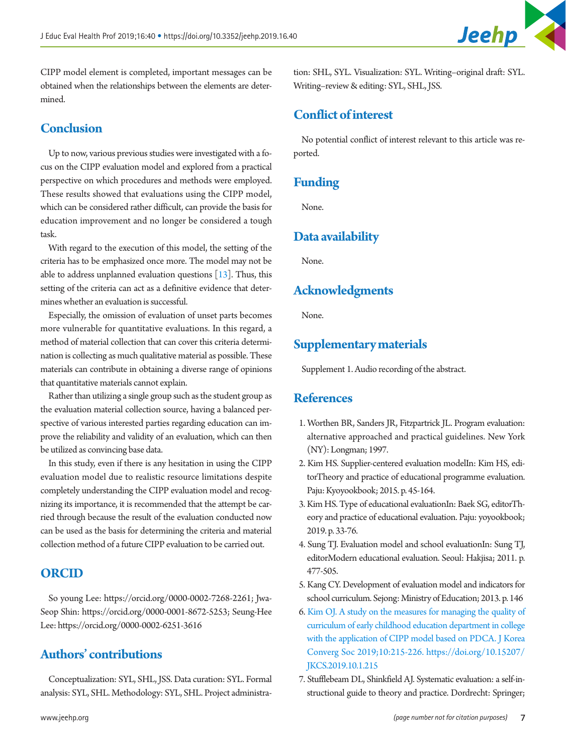

CIPP model element is completed, important messages can be obtained when the relationships between the elements are determined.

#### **Conclusion**

Up to now, various previous studies were investigated with a focus on the CIPP evaluation model and explored from a practical perspective on which procedures and methods were employed. These results showed that evaluations using the CIPP model, which can be considered rather difficult, can provide the basis for education improvement and no longer be considered a tough task.

With regard to the execution of this model, the setting of the criteria has to be emphasized once more. The model may not be able to address unplanned evaluation questions  $[13]$  $[13]$  $[13]$ . Thus, this setting of the criteria can act as a definitive evidence that determines whether an evaluation is successful.

Especially, the omission of evaluation of unset parts becomes more vulnerable for quantitative evaluations. In this regard, a method of material collection that can cover this criteria determination is collecting as much qualitative material as possible. These materials can contribute in obtaining a diverse range of opinions that quantitative materials cannot explain.

Rather than utilizing a single group such as the student group as the evaluation material collection source, having a balanced perspective of various interested parties regarding education can improve the reliability and validity of an evaluation, which can then be utilized as convincing base data.

In this study, even if there is any hesitation in using the CIPP evaluation model due to realistic resource limitations despite completely understanding the CIPP evaluation model and recognizing its importance, it is recommended that the attempt be carried through because the result of the evaluation conducted now can be used as the basis for determining the criteria and material collection method of a future CIPP evaluation to be carried out.

#### **ORCID**

So young Lee: [https://orcid.org/0000-0002-7268-226](http://orcid.org/0000-0002-7268-2261)1; Jwa-Seop Shin: [https://orcid.org/0000-0001-8672-525](http://orcid.org/0000-0001-8672-5253)3; Seung-Hee Lee: [https://orcid.org/0000-0002-6251-361](http://orcid.org/0000-0002-6251-3616)6

# **Authors' contributions**

Conceptualization: SYL, SHL, JSS. Data curation: SYL. Formal analysis: SYL, SHL. Methodology: SYL, SHL. Project administra-

tion: SHL, SYL. Visualization: SYL. Writing–original draft: SYL. Writing–review & editing: SYL, SHL, JSS.

#### **Conflict of interest**

No potential conflict of interest relevant to this article was reported.

# **Funding**

None.

# **Data availability**

None.

#### **Acknowledgments**

None.

# **Supplementary materials**

Supplement 1. Audio recording of the abstract.

#### **References**

- <span id="page-6-0"></span>1. Worthen BR, Sanders JR, Fitzpartrick JL. Program evaluation: alternative approached and practical guidelines. New York (NY): Longman; 1997.
- <span id="page-6-1"></span>2. Kim HS. Supplier-centered evaluation modelIn: Kim HS, editorTheory and practice of educational programme evaluation. Paju: Kyoyookbook; 2015. p. 45-164.
- <span id="page-6-2"></span>3. Kim HS. Type of educational evaluationIn: Baek SG, editorTheory and practice of educational evaluation. Paju: yoyookbook; 2019. p. 33-76.
- <span id="page-6-3"></span>4. Sung TJ. Evaluation model and school evaluationIn: Sung TJ, editorModern educational evaluation. Seoul: Hakjisa; 2011. p. 477-505.
- <span id="page-6-4"></span>5. Kang CY. Development of evaluation model and indicators for school curriculum. Sejong: Ministry of Education; 2013. p. 146
- <span id="page-6-7"></span><span id="page-6-5"></span>6. [Kim OJ. A study on the measures for managing the quality of](https://doi.org/10.15207/JKCS.2019.10.1.215)  [curriculum of early childhood education department in college](https://doi.org/10.15207/JKCS.2019.10.1.215)  [with the application of CIPP model based on PDCA. J Korea](https://doi.org/10.15207/JKCS.2019.10.1.215)  [Converg Soc 2019;10:215-226. https://doi.org/10.15207/](https://doi.org/10.15207/JKCS.2019.10.1.215) [JKCS.2019.10.1.215](https://doi.org/10.15207/JKCS.2019.10.1.215)
- <span id="page-6-6"></span>7. Stufflebeam DL, Shinkfield AJ. Systematic evaluation: a self-instructional guide to theory and practice. Dordrecht: Springer;